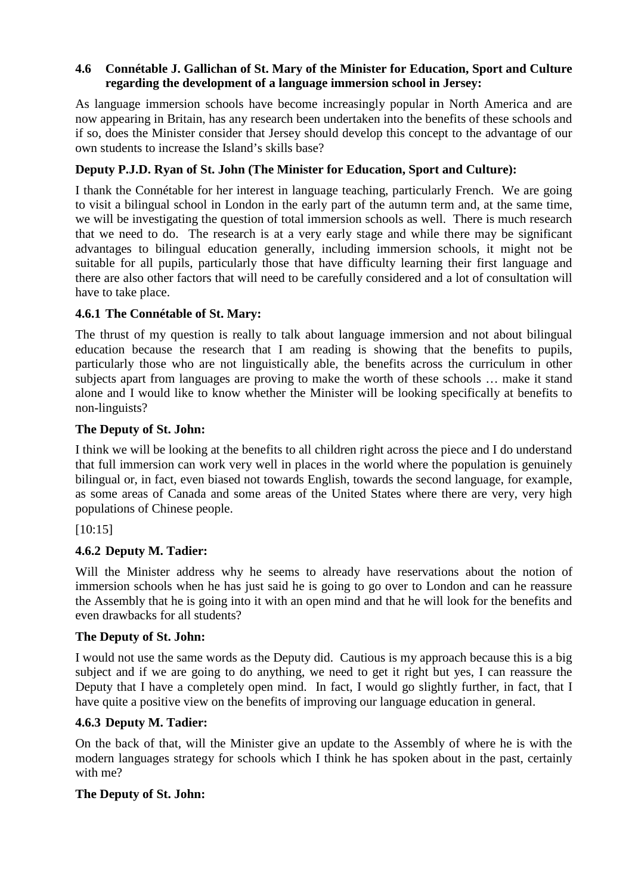## **4.6 Connétable J. Gallichan of St. Mary of the Minister for Education, Sport and Culture regarding the development of a language immersion school in Jersey:**

As language immersion schools have become increasingly popular in North America and are now appearing in Britain, has any research been undertaken into the benefits of these schools and if so, does the Minister consider that Jersey should develop this concept to the advantage of our own students to increase the Island's skills base?

# **Deputy P.J.D. Ryan of St. John (The Minister for Education, Sport and Culture):**

I thank the Connétable for her interest in language teaching, particularly French. We are going to visit a bilingual school in London in the early part of the autumn term and, at the same time, we will be investigating the question of total immersion schools as well. There is much research that we need to do. The research is at a very early stage and while there may be significant advantages to bilingual education generally, including immersion schools, it might not be suitable for all pupils, particularly those that have difficulty learning their first language and there are also other factors that will need to be carefully considered and a lot of consultation will have to take place.

## **4.6.1 The Connétable of St. Mary:**

The thrust of my question is really to talk about language immersion and not about bilingual education because the research that I am reading is showing that the benefits to pupils, particularly those who are not linguistically able, the benefits across the curriculum in other subjects apart from languages are proving to make the worth of these schools … make it stand alone and I would like to know whether the Minister will be looking specifically at benefits to non-linguists?

## **The Deputy of St. John:**

I think we will be looking at the benefits to all children right across the piece and I do understand that full immersion can work very well in places in the world where the population is genuinely bilingual or, in fact, even biased not towards English, towards the second language, for example, as some areas of Canada and some areas of the United States where there are very, very high populations of Chinese people.

[10:15]

## **4.6.2 Deputy M. Tadier:**

Will the Minister address why he seems to already have reservations about the notion of immersion schools when he has just said he is going to go over to London and can he reassure the Assembly that he is going into it with an open mind and that he will look for the benefits and even drawbacks for all students?

## **The Deputy of St. John:**

I would not use the same words as the Deputy did. Cautious is my approach because this is a big subject and if we are going to do anything, we need to get it right but yes, I can reassure the Deputy that I have a completely open mind. In fact, I would go slightly further, in fact, that I have quite a positive view on the benefits of improving our language education in general.

## **4.6.3 Deputy M. Tadier:**

On the back of that, will the Minister give an update to the Assembly of where he is with the modern languages strategy for schools which I think he has spoken about in the past, certainly with me?

## **The Deputy of St. John:**